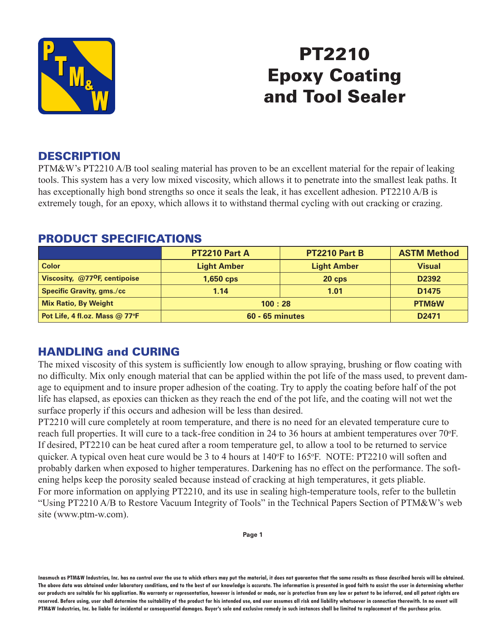

# PT2210 Epoxy Coating and Tool Sealer

## **DESCRIPTION**

PTM&W's PT2210 A/B tool sealing material has proven to be an excellent material for the repair of leaking tools. This system has a very low mixed viscosity, which allows it to penetrate into the smallest leak paths. It has exceptionally high bond strengths so once it seals the leak, it has excellent adhesion. PT2210 A/B is extremely tough, for an epoxy, which allows it to withstand thermal cycling with out cracking or crazing.

|                                           | <b>PT2210 Part A</b>   | PT2210 Part B      | <b>ASTM Method</b> |
|-------------------------------------------|------------------------|--------------------|--------------------|
| <b>Color</b>                              | <b>Light Amber</b>     | <b>Light Amber</b> | <b>Visual</b>      |
| Viscosity, @77 <sup>o</sup> F, centipoise | $1,650$ cps            | $20$ cps           | D <sub>2392</sub>  |
| <b>Specific Gravity, gms./cc</b>          | 1.14                   | 1.01               | D <sub>1475</sub>  |
| <b>Mix Ratio, By Weight</b>               | 100:28                 |                    | <b>PTM&amp;W</b>   |
| Pot Life, 4 fl.oz. Mass @ 77°F            | <b>60 - 65 minutes</b> |                    | D <sub>2471</sub>  |

#### PRODUCT SPECIFICATIONS

## HANDLING and CURING

The mixed viscosity of this system is sufficiently low enough to allow spraying, brushing or flow coating with no difficulty. Mix only enough material that can be applied within the pot life of the mass used, to prevent damage to equipment and to insure proper adhesion of the coating. Try to apply the coating before half of the pot life has elapsed, as epoxies can thicken as they reach the end of the pot life, and the coating will not wet the surface properly if this occurs and adhesion will be less than desired.

PT2210 will cure completely at room temperature, and there is no need for an elevated temperature cure to reach full properties. It will cure to a tack-free condition in 24 to 36 hours at ambient temperatures over 70°F. If desired, PT2210 can be heat cured after a room temperature gel, to allow a tool to be returned to service quicker. A typical oven heat cure would be 3 to 4 hours at 140°F to 165°F. NOTE: PT2210 will soften and probably darken when exposed to higher temperatures. Darkening has no effect on the performance. The softening helps keep the porosity sealed because instead of cracking at high temperatures, it gets pliable. For more information on applying PT2210, and its use in sealing high-temperature tools, refer to the bulletin "Using PT2210 A/B to Restore Vacuum Integrity of Tools" in the Technical Papers Section of PTM&W's web site (www.ptm-w.com).

**Page 1**

**Inasmuch as PTM&W Industries, Inc. has no control over the use to which others may put the material, it does not guarantee that the same results as those described hereis will be obtained.**  The above data was obtained under laboratory conditions, and to the best of our knowledge is accurate. The information is presented in good faith to assist the user in determining whether **our products are suitable for his application. No warranty or representation, however is intended or made, nor is protection from any law or patent to be inferred, and all patent rights are**  reserved. Before using, user shall determine the suitability of the product for his intended use, and user assumes all risk and liability whatsoever in connection therewith. In no event will **PTM&W Industries, Inc. be liable for incidental or consequential damages. Buyer's sole and exclusive remedy in such instances shall be limited to replacement of the purchase price.**